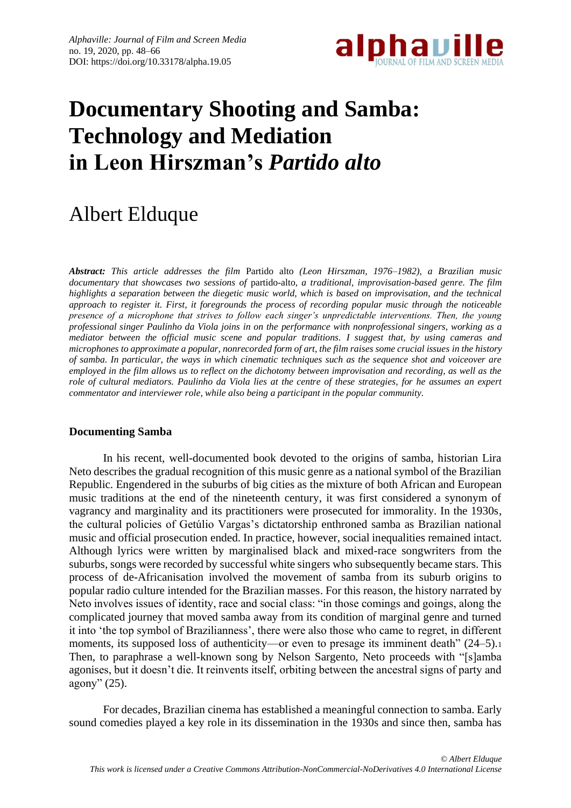

# **Documentary Shooting and Samba: Technology and Mediation in Leon Hirszman's** *Partido alto*

# Albert Elduque

*Abstract: This article addresses the film* Partido alto *(Leon Hirszman, 1976–1982), a Brazilian music documentary that showcases two sessions of* partido-alto*, a traditional, improvisation-based genre. The film highlights a separation between the diegetic music world, which is based on improvisation, and the technical approach to register it. First, it foregrounds the process of recording popular music through the noticeable presence of a microphone that strives to follow each singer's unpredictable interventions. Then, the young professional singer Paulinho da Viola joins in on the performance with nonprofessional singers, working as a mediator between the official music scene and popular traditions. I suggest that, by using cameras and microphones to approximate a popular, nonrecorded form of art, the film raises some crucial issues in the history of samba. In particular, the ways in which cinematic techniques such as the sequence shot and voiceover are employed in the film allows us to reflect on the dichotomy between improvisation and recording, as well as the role of cultural mediators. Paulinho da Viola lies at the centre of these strategies, for he assumes an expert commentator and interviewer role, while also being a participant in the popular community.*

## **Documenting Samba**

In his recent, well-documented book devoted to the origins of samba, historian Lira Neto describes the gradual recognition of this music genre as a national symbol of the Brazilian Republic. Engendered in the suburbs of big cities as the mixture of both African and European music traditions at the end of the nineteenth century, it was first considered a synonym of vagrancy and marginality and its practitioners were prosecuted for immorality. In the 1930s, the cultural policies of Getúlio Vargas's dictatorship enthroned samba as Brazilian national music and official prosecution ended. In practice, however, social inequalities remained intact. Although lyrics were written by marginalised black and mixed-race songwriters from the suburbs, songs were recorded by successful white singers who subsequently became stars. This process of de-Africanisation involved the movement of samba from its suburb origins to popular radio culture intended for the Brazilian masses. For this reason, the history narrated by Neto involves issues of identity, race and social class: "in those comings and goings, along the complicated journey that moved samba away from its condition of marginal genre and turned it into 'the top symbol of Brazilianness', there were also those who came to regret, in different moments, its supposed loss of authenticity—or even to presage its imminent death" (24–5). Then, to paraphrase a well-known song by Nelson Sargento, Neto proceeds with "[s]amba agonises, but it doesn't die. It reinvents itself, orbiting between the ancestral signs of party and agony" (25).

For decades, Brazilian cinema has established a meaningful connection to samba. Early sound comedies played a key role in its dissemination in the 1930s and since then, samba has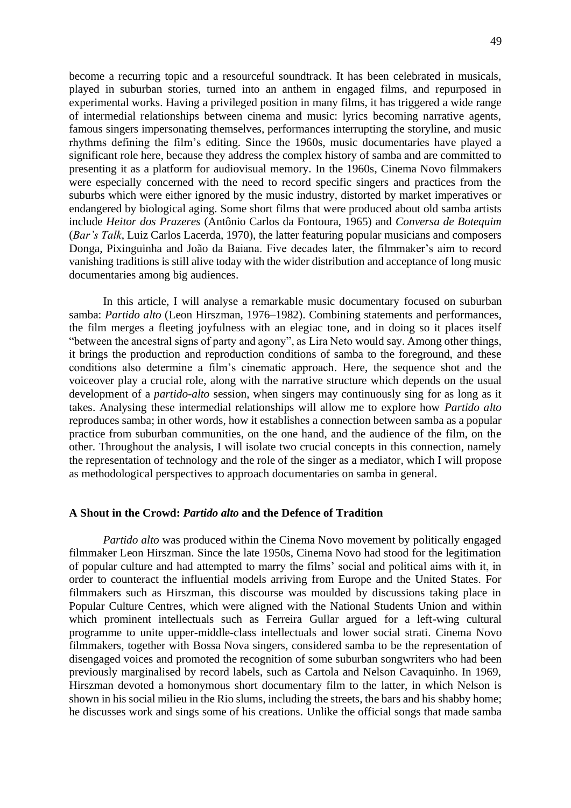become a recurring topic and a resourceful soundtrack. It has been celebrated in musicals, played in suburban stories, turned into an anthem in engaged films, and repurposed in experimental works. Having a privileged position in many films, it has triggered a wide range of intermedial relationships between cinema and music: lyrics becoming narrative agents, famous singers impersonating themselves, performances interrupting the storyline, and music rhythms defining the film's editing. Since the 1960s, music documentaries have played a significant role here, because they address the complex history of samba and are committed to presenting it as a platform for audiovisual memory. In the 1960s, Cinema Novo filmmakers were especially concerned with the need to record specific singers and practices from the suburbs which were either ignored by the music industry, distorted by market imperatives or endangered by biological aging. Some short films that were produced about old samba artists include *Heitor dos Prazeres* (Antônio Carlos da Fontoura, 1965) and *Conversa de Botequim* (*Bar's Talk*, Luiz Carlos Lacerda, 1970), the latter featuring popular musicians and composers Donga, Pixinguinha and João da Baiana. Five decades later, the filmmaker's aim to record vanishing traditions is still alive today with the wider distribution and acceptance of long music documentaries among big audiences.

In this article, I will analyse a remarkable music documentary focused on suburban samba: *Partido alto* (Leon Hirszman, 1976–1982). Combining statements and performances, the film merges a fleeting joyfulness with an elegiac tone, and in doing so it places itself "between the ancestral signs of party and agony", as Lira Neto would say. Among other things, it brings the production and reproduction conditions of samba to the foreground, and these conditions also determine a film's cinematic approach. Here, the sequence shot and the voiceover play a crucial role, along with the narrative structure which depends on the usual development of a *partido-alto* session, when singers may continuously sing for as long as it takes. Analysing these intermedial relationships will allow me to explore how *Partido alto* reproduces samba; in other words, how it establishes a connection between samba as a popular practice from suburban communities, on the one hand, and the audience of the film, on the other. Throughout the analysis, I will isolate two crucial concepts in this connection, namely the representation of technology and the role of the singer as a mediator, which I will propose as methodological perspectives to approach documentaries on samba in general.

#### **A Shout in the Crowd:** *Partido alto* **and the Defence of Tradition**

*Partido alto* was produced within the Cinema Novo movement by politically engaged filmmaker Leon Hirszman. Since the late 1950s, Cinema Novo had stood for the legitimation of popular culture and had attempted to marry the films' social and political aims with it, in order to counteract the influential models arriving from Europe and the United States. For filmmakers such as Hirszman, this discourse was moulded by discussions taking place in Popular Culture Centres, which were aligned with the National Students Union and within which prominent intellectuals such as Ferreira Gullar argued for a left-wing cultural programme to unite upper-middle-class intellectuals and lower social strati. Cinema Novo filmmakers, together with Bossa Nova singers, considered samba to be the representation of disengaged voices and promoted the recognition of some suburban songwriters who had been previously marginalised by record labels, such as Cartola and Nelson Cavaquinho. In 1969, Hirszman devoted a homonymous short documentary film to the latter, in which Nelson is shown in his social milieu in the Rio slums, including the streets, the bars and his shabby home; he discusses work and sings some of his creations. Unlike the official songs that made samba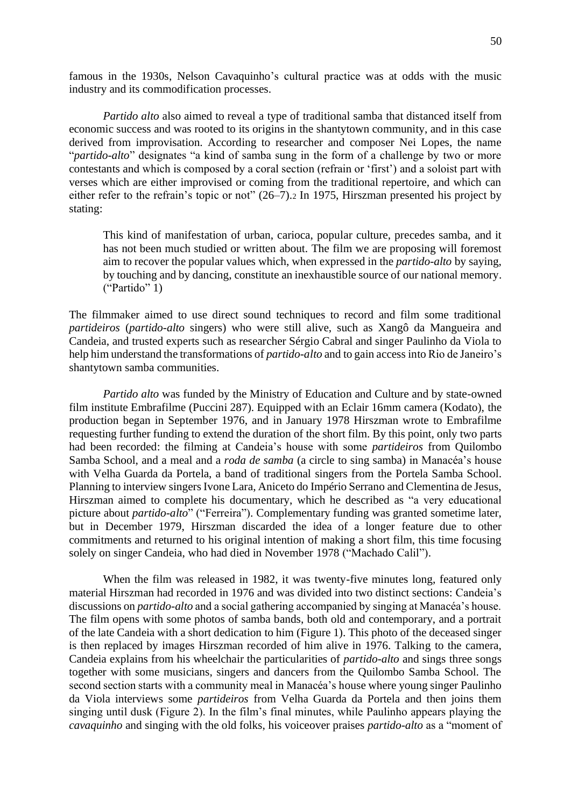famous in the 1930s, Nelson Cavaquinho's cultural practice was at odds with the music industry and its commodification processes.

*Partido alto* also aimed to reveal a type of traditional samba that distanced itself from economic success and was rooted to its origins in the shantytown community, and in this case derived from improvisation. According to researcher and composer Nei Lopes, the name "*partido-alto*" designates "a kind of samba sung in the form of a challenge by two or more contestants and which is composed by a coral section (refrain or 'first') and a soloist part with verses which are either improvised or coming from the traditional repertoire, and which can either refer to the refrain's topic or not" (26–7).<sup>2</sup> In 1975, Hirszman presented his project by stating:

This kind of manifestation of urban, carioca, popular culture, precedes samba, and it has not been much studied or written about. The film we are proposing will foremost aim to recover the popular values which, when expressed in the *partido-alto* by saying, by touching and by dancing, constitute an inexhaustible source of our national memory. ("Partido" 1)

The filmmaker aimed to use direct sound techniques to record and film some traditional *partideiros* (*partido-alto* singers) who were still alive, such as Xangô da Mangueira and Candeia, and trusted experts such as researcher Sérgio Cabral and singer Paulinho da Viola to help him understand the transformations of *partido-alto* and to gain access into Rio de Janeiro's shantytown samba communities.

*Partido alto* was funded by the Ministry of Education and Culture and by state-owned film institute Embrafilme (Puccini 287). Equipped with an Eclair 16mm camera (Kodato), the production began in September 1976, and in January 1978 Hirszman wrote to Embrafilme requesting further funding to extend the duration of the short film. By this point, only two parts had been recorded: the filming at Candeia's house with some *partideiros* from Quilombo Samba School, and a meal and a *roda de samba* (a circle to sing samba) in Manacéa's house with Velha Guarda da Portela, a band of traditional singers from the Portela Samba School. Planning to interview singers Ivone Lara, Aniceto do Império Serrano and Clementina de Jesus, Hirszman aimed to complete his documentary, which he described as "a very educational picture about *partido-alto*" ("Ferreira"). Complementary funding was granted sometime later, but in December 1979, Hirszman discarded the idea of a longer feature due to other commitments and returned to his original intention of making a short film, this time focusing solely on singer Candeia, who had died in November 1978 ("Machado Calil").

When the film was released in 1982, it was twenty-five minutes long, featured only material Hirszman had recorded in 1976 and was divided into two distinct sections: Candeia's discussions on *partido-alto* and a social gathering accompanied by singing at Manacéa's house. The film opens with some photos of samba bands, both old and contemporary, and a portrait of the late Candeia with a short dedication to him (Figure 1). This photo of the deceased singer is then replaced by images Hirszman recorded of him alive in 1976. Talking to the camera, Candeia explains from his wheelchair the particularities of *partido-alto* and sings three songs together with some musicians, singers and dancers from the Quilombo Samba School. The second section starts with a community meal in Manacéa's house where young singer Paulinho da Viola interviews some *partideiros* from Velha Guarda da Portela and then joins them singing until dusk (Figure 2). In the film's final minutes, while Paulinho appears playing the *cavaquinho* and singing with the old folks, his voiceover praises *partido-alto* as a "moment of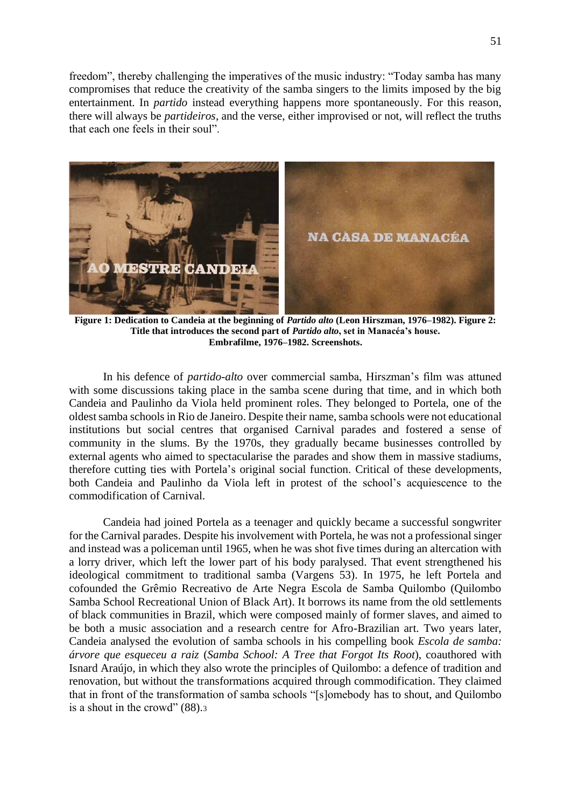freedom", thereby challenging the imperatives of the music industry: "Today samba has many compromises that reduce the creativity of the samba singers to the limits imposed by the big entertainment. In *partido* instead everything happens more spontaneously. For this reason, there will always be *partideiros*, and the verse, either improvised or not, will reflect the truths that each one feels in their soul".



**Figure 1: Dedication to Candeia at the beginning of** *Partido alto* **(Leon Hirszman, 1976–1982). Figure 2: Title that introduces the second part of** *Partido alto***, set in Manacéa's house. Embrafilme, 1976–1982. Screenshots.**

In his defence of *partido-alto* over commercial samba, Hirszman's film was attuned with some discussions taking place in the samba scene during that time, and in which both Candeia and Paulinho da Viola held prominent roles. They belonged to Portela, one of the oldest samba schools in Rio de Janeiro. Despite their name, samba schools were not educational institutions but social centres that organised Carnival parades and fostered a sense of community in the slums. By the 1970s, they gradually became businesses controlled by external agents who aimed to spectacularise the parades and show them in massive stadiums, therefore cutting ties with Portela's original social function. Critical of these developments, both Candeia and Paulinho da Viola left in protest of the school's acquiescence to the commodification of Carnival.

Candeia had joined Portela as a teenager and quickly became a successful songwriter for the Carnival parades. Despite his involvement with Portela, he was not a professional singer and instead was a policeman until 1965, when he was shot five times during an altercation with a lorry driver, which left the lower part of his body paralysed. That event strengthened his ideological commitment to traditional samba (Vargens 53). In 1975, he left Portela and cofounded the Grêmio Recreativo de Arte Negra Escola de Samba Quilombo (Quilombo Samba School Recreational Union of Black Art). It borrows its name from the old settlements of black communities in Brazil, which were composed mainly of former slaves, and aimed to be both a music association and a research centre for Afro-Brazilian art. Two years later, Candeia analysed the evolution of samba schools in his compelling book *Escola de samba: árvore que esqueceu a raiz* (*Samba School: A Tree that Forgot Its Root*), coauthored with Isnard Araújo, in which they also wrote the principles of Quilombo: a defence of tradition and renovation, but without the transformations acquired through commodification. They claimed that in front of the transformation of samba schools "[s]omebody has to shout, and Quilombo is a shout in the crowd" (88).3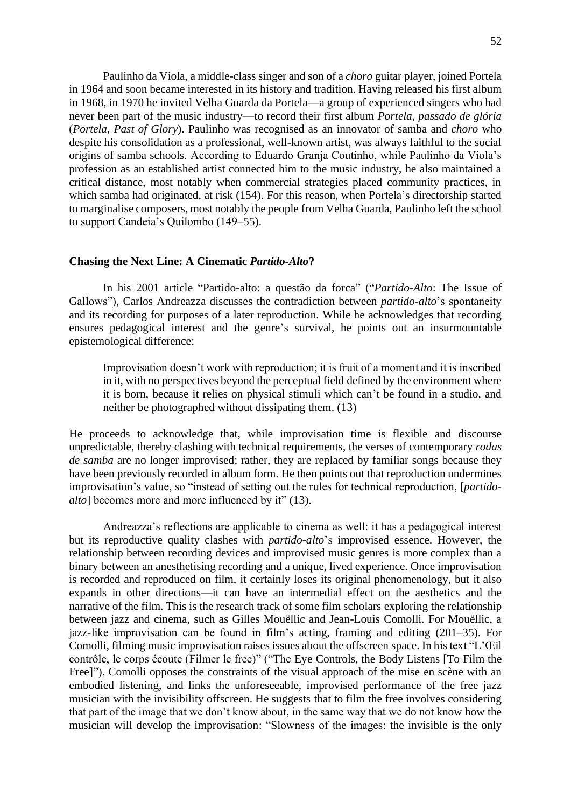Paulinho da Viola, a middle-class singer and son of a *choro* guitar player, joined Portela in 1964 and soon became interested in its history and tradition. Having released his first album in 1968, in 1970 he invited Velha Guarda da Portela—a group of experienced singers who had never been part of the music industry—to record their first album *Portela, passado de glória* (*Portela, Past of Glory*). Paulinho was recognised as an innovator of samba and *choro* who despite his consolidation as a professional, well-known artist, was always faithful to the social origins of samba schools. According to Eduardo Granja Coutinho, while Paulinho da Viola's profession as an established artist connected him to the music industry, he also maintained a critical distance, most notably when commercial strategies placed community practices, in which samba had originated, at risk (154). For this reason, when Portela's directorship started to marginalise composers, most notably the people from Velha Guarda, Paulinho left the school to support Candeia's Quilombo (149–55).

#### **Chasing the Next Line: A Cinematic** *Partido-Alto***?**

In his 2001 article "Partido-alto: a questão da forca" ("*Partido-Alto*: The Issue of Gallows"), Carlos Andreazza discusses the contradiction between *partido-alto*'s spontaneity and its recording for purposes of a later reproduction. While he acknowledges that recording ensures pedagogical interest and the genre's survival, he points out an insurmountable epistemological difference:

Improvisation doesn't work with reproduction; it is fruit of a moment and it is inscribed in it, with no perspectives beyond the perceptual field defined by the environment where it is born, because it relies on physical stimuli which can't be found in a studio, and neither be photographed without dissipating them. (13)

He proceeds to acknowledge that, while improvisation time is flexible and discourse unpredictable, thereby clashing with technical requirements, the verses of contemporary *rodas de samba* are no longer improvised; rather, they are replaced by familiar songs because they have been previously recorded in album form. He then points out that reproduction undermines improvisation's value, so "instead of setting out the rules for technical reproduction, [*partidoalto*] becomes more and more influenced by it" (13).

Andreazza's reflections are applicable to cinema as well: it has a pedagogical interest but its reproductive quality clashes with *partido-alto*'s improvised essence. However, the relationship between recording devices and improvised music genres is more complex than a binary between an anesthetising recording and a unique, lived experience. Once improvisation is recorded and reproduced on film, it certainly loses its original phenomenology, but it also expands in other directions—it can have an intermedial effect on the aesthetics and the narrative of the film. This is the research track of some film scholars exploring the relationship between jazz and cinema, such as Gilles Mouëllic and Jean-Louis Comolli. For Mouëllic, a jazz-like improvisation can be found in film's acting, framing and editing (201–35). For Comolli, filming music improvisation raises issues about the offscreen space. In his text "L'Œil contrôle, le corps écoute (Filmer le free)" ("The Eye Controls, the Body Listens [To Film the Free]"), Comolli opposes the constraints of the visual approach of the mise en scène with an embodied listening, and links the unforeseeable, improvised performance of the free jazz musician with the invisibility offscreen. He suggests that to film the free involves considering that part of the image that we don't know about, in the same way that we do not know how the musician will develop the improvisation: "Slowness of the images: the invisible is the only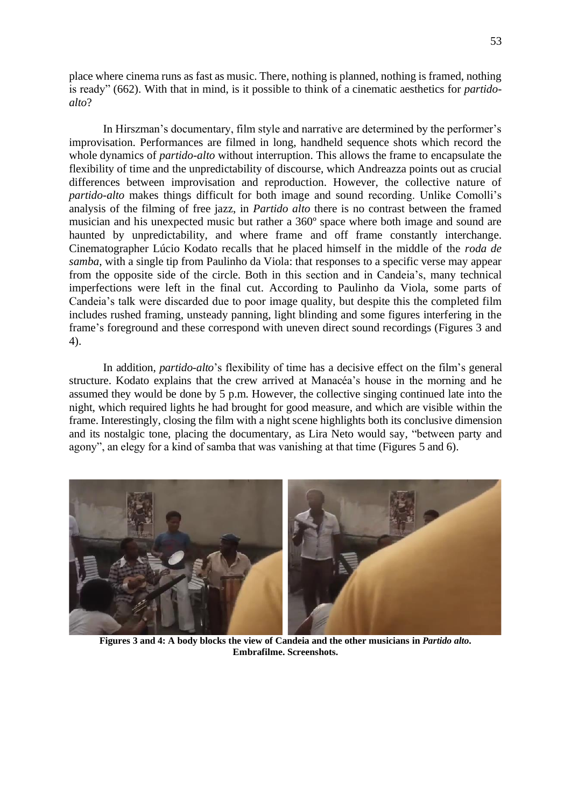place where cinema runs as fast as music. There, nothing is planned, nothing is framed, nothing is ready" (662). With that in mind, is it possible to think of a cinematic aesthetics for *partidoalto*?

In Hirszman's documentary, film style and narrative are determined by the performer's improvisation. Performances are filmed in long, handheld sequence shots which record the whole dynamics of *partido-alto* without interruption. This allows the frame to encapsulate the flexibility of time and the unpredictability of discourse, which Andreazza points out as crucial differences between improvisation and reproduction. However, the collective nature of *partido-alto* makes things difficult for both image and sound recording. Unlike Comolli's analysis of the filming of free jazz, in *Partido alto* there is no contrast between the framed musician and his unexpected music but rather a 360º space where both image and sound are haunted by unpredictability, and where frame and off frame constantly interchange. Cinematographer Lúcio Kodato recalls that he placed himself in the middle of the *roda de samba*, with a single tip from Paulinho da Viola: that responses to a specific verse may appear from the opposite side of the circle. Both in this section and in Candeia's, many technical imperfections were left in the final cut. According to Paulinho da Viola, some parts of Candeia's talk were discarded due to poor image quality, but despite this the completed film includes rushed framing, unsteady panning, light blinding and some figures interfering in the frame's foreground and these correspond with uneven direct sound recordings (Figures 3 and 4).

In addition, *partido-alto*'s flexibility of time has a decisive effect on the film's general structure. Kodato explains that the crew arrived at Manacéa's house in the morning and he assumed they would be done by 5 p.m. However, the collective singing continued late into the night, which required lights he had brought for good measure, and which are visible within the frame. Interestingly, closing the film with a night scene highlights both its conclusive dimension and its nostalgic tone, placing the documentary, as Lira Neto would say, "between party and agony", an elegy for a kind of samba that was vanishing at that time (Figures 5 and 6).



**Figures 3 and 4: A body blocks the view of Candeia and the other musicians in** *Partido alto***. Embrafilme. Screenshots.**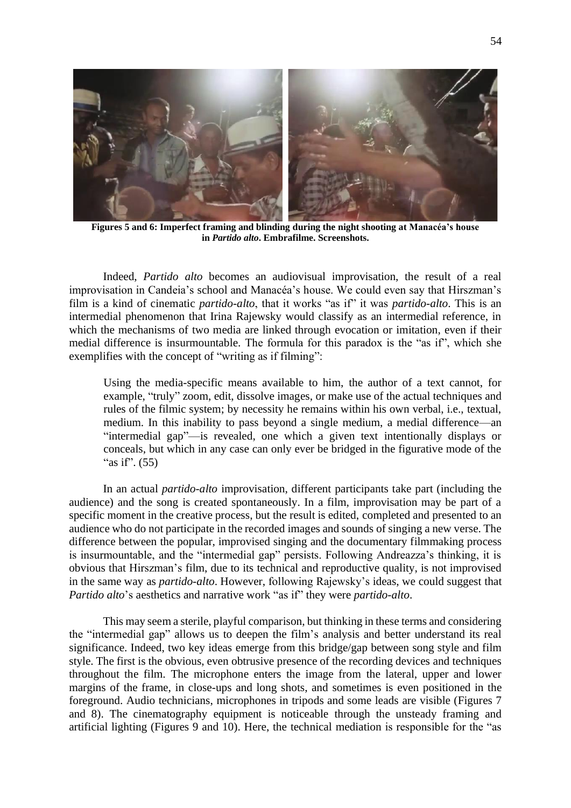

**Figures 5 and 6: Imperfect framing and blinding during the night shooting at Manacéa's house in** *Partido alto***. Embrafilme. Screenshots.**

Indeed, *Partido alto* becomes an audiovisual improvisation, the result of a real improvisation in Candeia's school and Manacéa's house. We could even say that Hirszman's film is a kind of cinematic *partido-alto*, that it works "as if" it was *partido-alto*. This is an intermedial phenomenon that Irina Rajewsky would classify as an intermedial reference, in which the mechanisms of two media are linked through evocation or imitation, even if their medial difference is insurmountable. The formula for this paradox is the "as if", which she exemplifies with the concept of "writing as if filming":

Using the media-specific means available to him, the author of a text cannot, for example, "truly" zoom, edit, dissolve images, or make use of the actual techniques and rules of the filmic system; by necessity he remains within his own verbal, i.e., textual, medium. In this inability to pass beyond a single medium, a medial difference—an "intermedial gap"—is revealed, one which a given text intentionally displays or conceals, but which in any case can only ever be bridged in the figurative mode of the "as if". (55)

In an actual *partido-alto* improvisation, different participants take part (including the audience) and the song is created spontaneously. In a film, improvisation may be part of a specific moment in the creative process, but the result is edited, completed and presented to an audience who do not participate in the recorded images and sounds of singing a new verse. The difference between the popular, improvised singing and the documentary filmmaking process is insurmountable, and the "intermedial gap" persists. Following Andreazza's thinking, it is obvious that Hirszman's film, due to its technical and reproductive quality, is not improvised in the same way as *partido-alto*. However, following Rajewsky's ideas, we could suggest that *Partido alto*'s aesthetics and narrative work "as if" they were *partido-alto*.

This may seem a sterile, playful comparison, but thinking in these terms and considering the "intermedial gap" allows us to deepen the film's analysis and better understand its real significance. Indeed, two key ideas emerge from this bridge/gap between song style and film style. The first is the obvious, even obtrusive presence of the recording devices and techniques throughout the film. The microphone enters the image from the lateral, upper and lower margins of the frame, in close-ups and long shots, and sometimes is even positioned in the foreground. Audio technicians, microphones in tripods and some leads are visible (Figures 7 and 8). The cinematography equipment is noticeable through the unsteady framing and artificial lighting (Figures 9 and 10). Here, the technical mediation is responsible for the "as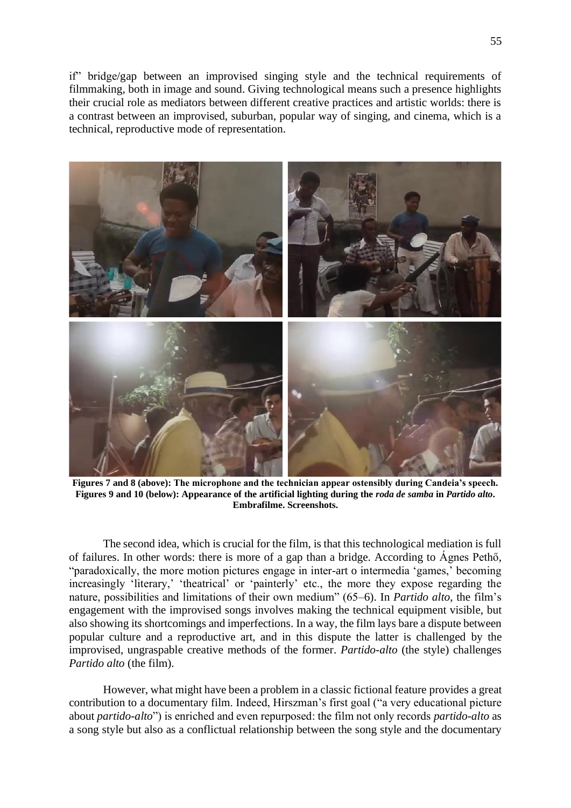if" bridge/gap between an improvised singing style and the technical requirements of filmmaking, both in image and sound. Giving technological means such a presence highlights their crucial role as mediators between different creative practices and artistic worlds: there is a contrast between an improvised, suburban, popular way of singing, and cinema, which is a technical, reproductive mode of representation.



**Figures 7 and 8 (above): The microphone and the technician appear ostensibly during Candeia's speech. Figures 9 and 10 (below): Appearance of the artificial lighting during the** *roda de samba* **in** *Partido alto***. Embrafilme. Screenshots.**

The second idea, which is crucial for the film, is that this technological mediation is full of failures. In other words: there is more of a gap than a bridge. According to Ágnes Pethő, "paradoxically, the more motion pictures engage in inter-art o intermedia 'games,' becoming increasingly 'literary,' 'theatrical' or 'painterly' etc., the more they expose regarding the nature, possibilities and limitations of their own medium" (65–6). In *Partido alto*, the film's engagement with the improvised songs involves making the technical equipment visible, but also showing its shortcomings and imperfections. In a way, the film lays bare a dispute between popular culture and a reproductive art, and in this dispute the latter is challenged by the improvised, ungraspable creative methods of the former. *Partido-alto* (the style) challenges *Partido alto* (the film).

However, what might have been a problem in a classic fictional feature provides a great contribution to a documentary film. Indeed, Hirszman's first goal ("a very educational picture about *partido-alto*") is enriched and even repurposed: the film not only records *partido-alto* as a song style but also as a conflictual relationship between the song style and the documentary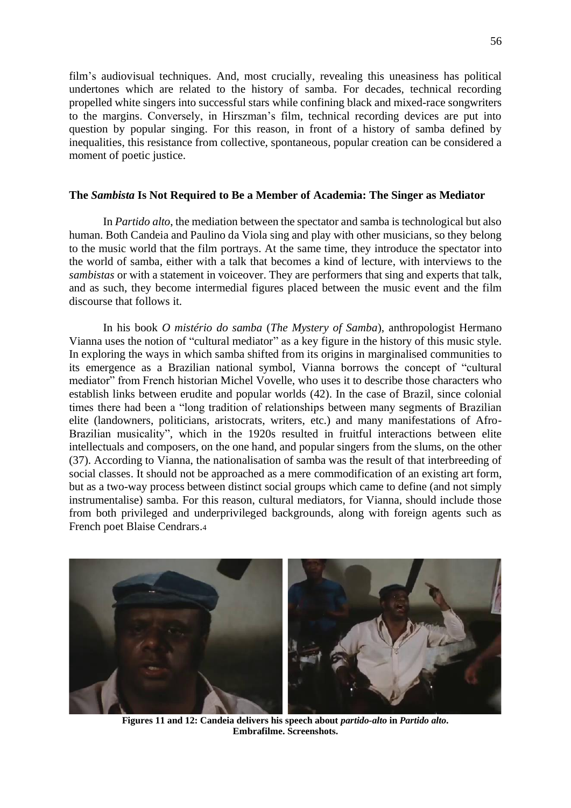film's audiovisual techniques. And, most crucially, revealing this uneasiness has political undertones which are related to the history of samba. For decades, technical recording propelled white singers into successful stars while confining black and mixed-race songwriters to the margins. Conversely, in Hirszman's film, technical recording devices are put into question by popular singing. For this reason, in front of a history of samba defined by inequalities, this resistance from collective, spontaneous, popular creation can be considered a moment of poetic justice.

#### **The** *Sambista* **Is Not Required to Be a Member of Academia: The Singer as Mediator**

In *Partido alto*, the mediation between the spectator and samba is technological but also human. Both Candeia and Paulino da Viola sing and play with other musicians, so they belong to the music world that the film portrays. At the same time, they introduce the spectator into the world of samba, either with a talk that becomes a kind of lecture, with interviews to the *sambistas* or with a statement in voiceover. They are performers that sing and experts that talk, and as such, they become intermedial figures placed between the music event and the film discourse that follows it.

In his book *O mistério do samba* (*The Mystery of Samba*), anthropologist Hermano Vianna uses the notion of "cultural mediator" as a key figure in the history of this music style. In exploring the ways in which samba shifted from its origins in marginalised communities to its emergence as a Brazilian national symbol, Vianna borrows the concept of "cultural mediator" from French historian Michel Vovelle, who uses it to describe those characters who establish links between erudite and popular worlds (42). In the case of Brazil, since colonial times there had been a "long tradition of relationships between many segments of Brazilian elite (landowners, politicians, aristocrats, writers, etc.) and many manifestations of Afro-Brazilian musicality", which in the 1920s resulted in fruitful interactions between elite intellectuals and composers, on the one hand, and popular singers from the slums, on the other (37). According to Vianna, the nationalisation of samba was the result of that interbreeding of social classes. It should not be approached as a mere commodification of an existing art form, but as a two-way process between distinct social groups which came to define (and not simply instrumentalise) samba. For this reason, cultural mediators, for Vianna, should include those from both privileged and underprivileged backgrounds, along with foreign agents such as French poet Blaise Cendrars.<sup>4</sup>



**Figures 11 and 12: Candeia delivers his speech about** *partido-alto* **in** *Partido alto***. Embrafilme. Screenshots.**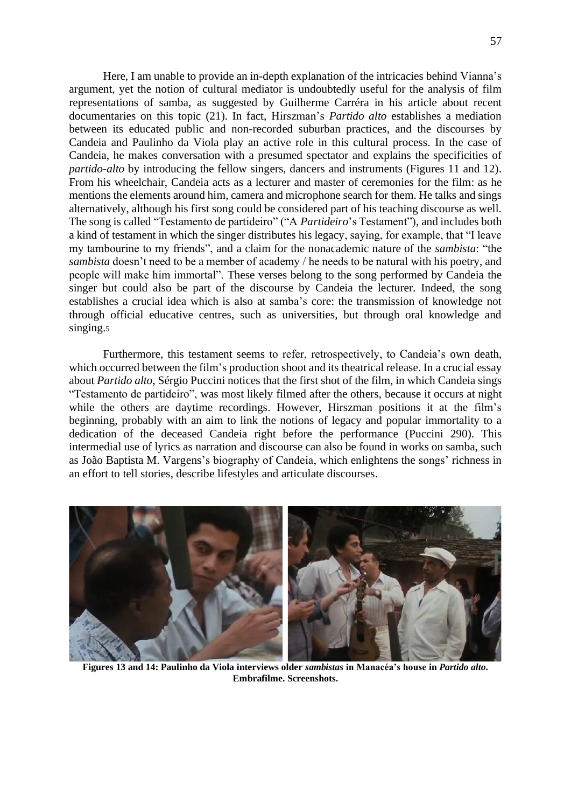Here, I am unable to provide an in-depth explanation of the intricacies behind Vianna's argument, yet the notion of cultural mediator is undoubtedly useful for the analysis of film representations of samba, as suggested by Guilherme Carréra in his article about recent documentaries on this topic (21). In fact, Hirszman's *Partido alto* establishes a mediation between its educated public and non-recorded suburban practices, and the discourses by Candeia and Paulinho da Viola play an active role in this cultural process. In the case of Candeia, he makes conversation with a presumed spectator and explains the specificities of *partido-alto* by introducing the fellow singers, dancers and instruments (Figures 11 and 12). From his wheelchair, Candeia acts as a lecturer and master of ceremonies for the film: as he mentions the elements around him, camera and microphone search for them. He talks and sings alternatively, although his first song could be considered part of his teaching discourse as well. The song is called "Testamento de partideiro" ("A *Partideiro*'s Testament"), and includes both a kind of testament in which the singer distributes his legacy, saying, for example, that "I leave my tambourine to my friends", and a claim for the nonacademic nature of the *sambista*: "the *sambista* doesn't need to be a member of academy / he needs to be natural with his poetry, and people will make him immortal". These verses belong to the song performed by Candeia the singer but could also be part of the discourse by Candeia the lecturer. Indeed, the song establishes a crucial idea which is also at samba's core: the transmission of knowledge not through official educative centres, such as universities, but through oral knowledge and

Furthermore, this testament seems to refer, retrospectively, to Candeia's own death, which occurred between the film's production shoot and its theatrical release. In a crucial essay about *Partido alto*, Sérgio Puccini notices that the first shot of the film, in which Candeia sings "Testamento de partideiro", was most likely filmed after the others, because it occurs at night while the others are daytime recordings. However, Hirszman positions it at the film's beginning, probably with an aim to link the notions of legacy and popular immortality to a dedication of the deceased Candeia right before the performance (Puccini 290). This intermedial use of lyrics as narration and discourse can also be found in works on samba, such as João Baptista M. Vargens's biography of Candeia, which enlightens the songs' richness in an effort to tell stories, describe lifestyles and articulate discourses.

singing.<sub>5</sub>



**Figures 13 and 14: Paulinho da Viola interviews older** *sambistas* **in Manacéa's house in** *Partido alto***. Embrafilme. Screenshots.**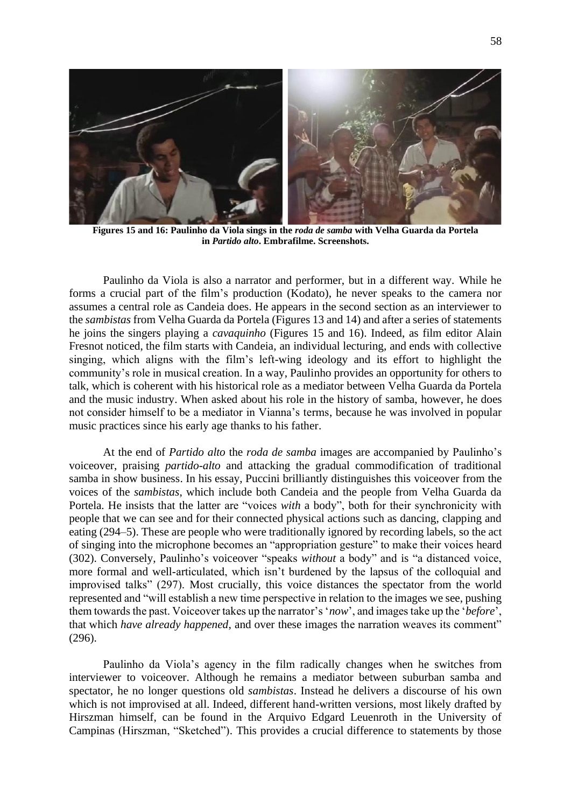

**Figures 15 and 16: Paulinho da Viola sings in the** *roda de samba* **with Velha Guarda da Portela in** *Partido alto***. Embrafilme. Screenshots.**

Paulinho da Viola is also a narrator and performer, but in a different way. While he forms a crucial part of the film's production (Kodato), he never speaks to the camera nor assumes a central role as Candeia does. He appears in the second section as an interviewer to the *sambistas* from Velha Guarda da Portela (Figures 13 and 14) and after a series of statements he joins the singers playing a *cavaquinho* (Figures 15 and 16). Indeed, as film editor Alain Fresnot noticed, the film starts with Candeia, an individual lecturing, and ends with collective singing, which aligns with the film's left-wing ideology and its effort to highlight the community's role in musical creation. In a way, Paulinho provides an opportunity for others to talk, which is coherent with his historical role as a mediator between Velha Guarda da Portela and the music industry. When asked about his role in the history of samba, however, he does not consider himself to be a mediator in Vianna's terms, because he was involved in popular music practices since his early age thanks to his father.

At the end of *Partido alto* the *roda de samba* images are accompanied by Paulinho's voiceover, praising *partido-alto* and attacking the gradual commodification of traditional samba in show business. In his essay, Puccini brilliantly distinguishes this voiceover from the voices of the *sambistas*, which include both Candeia and the people from Velha Guarda da Portela. He insists that the latter are "voices *with* a body", both for their synchronicity with people that we can see and for their connected physical actions such as dancing, clapping and eating (294–5). These are people who were traditionally ignored by recording labels, so the act of singing into the microphone becomes an "appropriation gesture" to make their voices heard (302). Conversely, Paulinho's voiceover "speaks *without* a body" and is "a distanced voice, more formal and well-articulated, which isn't burdened by the lapsus of the colloquial and improvised talks" (297). Most crucially, this voice distances the spectator from the world represented and "will establish a new time perspective in relation to the images we see, pushing them towards the past. Voiceover takes up the narrator's '*now*', and images take up the '*before*', that which *have already happened*, and over these images the narration weaves its comment" (296).

Paulinho da Viola's agency in the film radically changes when he switches from interviewer to voiceover. Although he remains a mediator between suburban samba and spectator, he no longer questions old *sambistas*. Instead he delivers a discourse of his own which is not improvised at all. Indeed, different hand-written versions, most likely drafted by Hirszman himself, can be found in the Arquivo Edgard Leuenroth in the University of Campinas (Hirszman, "Sketched"). This provides a crucial difference to statements by those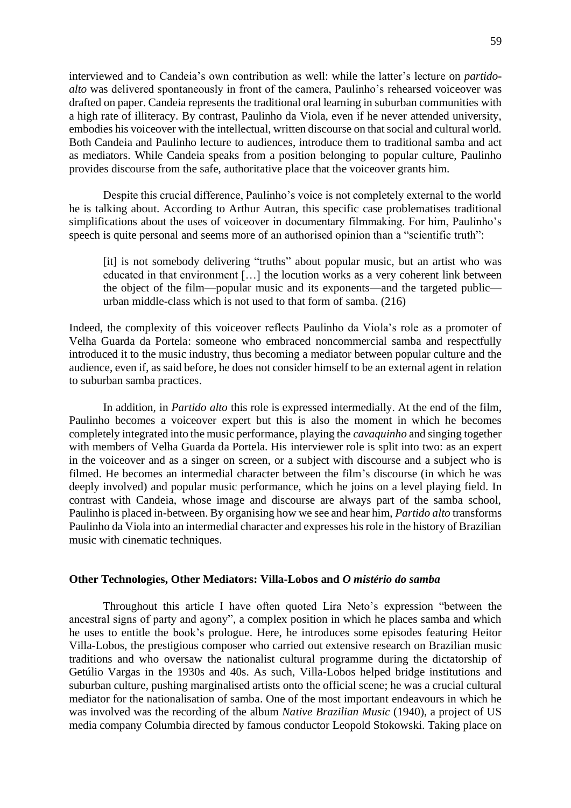interviewed and to Candeia's own contribution as well: while the latter's lecture on *partidoalto* was delivered spontaneously in front of the camera, Paulinho's rehearsed voiceover was drafted on paper. Candeia represents the traditional oral learning in suburban communities with a high rate of illiteracy. By contrast, Paulinho da Viola, even if he never attended university, embodies his voiceover with the intellectual, written discourse on that social and cultural world. Both Candeia and Paulinho lecture to audiences, introduce them to traditional samba and act as mediators. While Candeia speaks from a position belonging to popular culture, Paulinho provides discourse from the safe, authoritative place that the voiceover grants him.

Despite this crucial difference, Paulinho's voice is not completely external to the world he is talking about. According to Arthur Autran, this specific case problematises traditional simplifications about the uses of voiceover in documentary filmmaking. For him, Paulinho's speech is quite personal and seems more of an authorised opinion than a "scientific truth":

[it] is not somebody delivering "truths" about popular music, but an artist who was educated in that environment […] the locution works as a very coherent link between the object of the film—popular music and its exponents—and the targeted public urban middle-class which is not used to that form of samba. (216)

Indeed, the complexity of this voiceover reflects Paulinho da Viola's role as a promoter of Velha Guarda da Portela: someone who embraced noncommercial samba and respectfully introduced it to the music industry, thus becoming a mediator between popular culture and the audience, even if, as said before, he does not consider himself to be an external agent in relation to suburban samba practices.

In addition, in *Partido alto* this role is expressed intermedially. At the end of the film, Paulinho becomes a voiceover expert but this is also the moment in which he becomes completely integrated into the music performance, playing the *cavaquinho* and singing together with members of Velha Guarda da Portela. His interviewer role is split into two: as an expert in the voiceover and as a singer on screen, or a subject with discourse and a subject who is filmed. He becomes an intermedial character between the film's discourse (in which he was deeply involved) and popular music performance, which he joins on a level playing field. In contrast with Candeia, whose image and discourse are always part of the samba school, Paulinho is placed in-between. By organising how we see and hear him, *Partido alto* transforms Paulinho da Viola into an intermedial character and expresses his role in the history of Brazilian music with cinematic techniques.

#### **Other Technologies, Other Mediators: Villa-Lobos and** *O mistério do samba*

Throughout this article I have often quoted Lira Neto's expression "between the ancestral signs of party and agony", a complex position in which he places samba and which he uses to entitle the book's prologue. Here, he introduces some episodes featuring Heitor Villa-Lobos, the prestigious composer who carried out extensive research on Brazilian music traditions and who oversaw the nationalist cultural programme during the dictatorship of Getúlio Vargas in the 1930s and 40s. As such, Villa-Lobos helped bridge institutions and suburban culture, pushing marginalised artists onto the official scene; he was a crucial cultural mediator for the nationalisation of samba. One of the most important endeavours in which he was involved was the recording of the album *Native Brazilian Music* (1940), a project of US media company Columbia directed by famous conductor Leopold Stokowski. Taking place on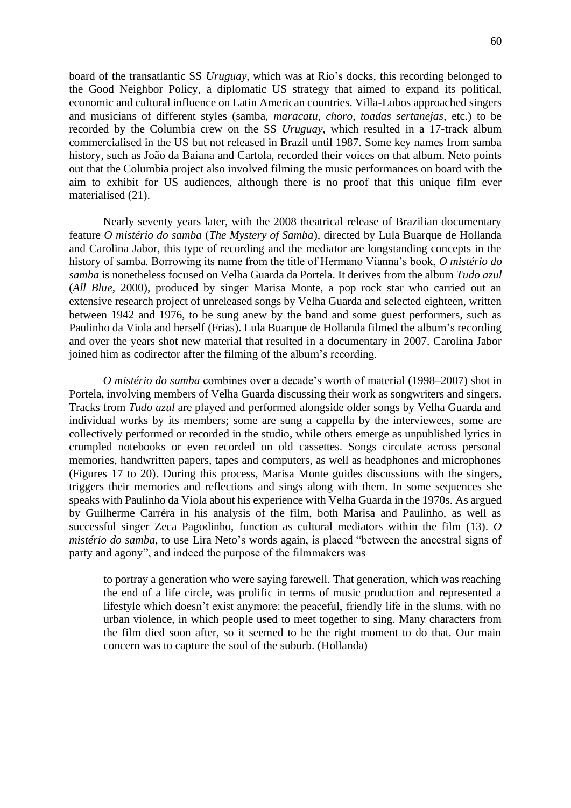board of the transatlantic SS *Uruguay*, which was at Rio's docks, this recording belonged to the Good Neighbor Policy, a diplomatic US strategy that aimed to expand its political, economic and cultural influence on Latin American countries. Villa-Lobos approached singers and musicians of different styles (samba, *maracatu*, *choro*, *toadas sertanejas*, etc.) to be recorded by the Columbia crew on the SS *Uruguay*, which resulted in a 17-track album commercialised in the US but not released in Brazil until 1987. Some key names from samba history, such as João da Baiana and Cartola, recorded their voices on that album. Neto points out that the Columbia project also involved filming the music performances on board with the aim to exhibit for US audiences, although there is no proof that this unique film ever materialised (21).

Nearly seventy years later, with the 2008 theatrical release of Brazilian documentary feature *O mistério do samba* (*The Mystery of Samba*), directed by Lula Buarque de Hollanda and Carolina Jabor, this type of recording and the mediator are longstanding concepts in the history of samba. Borrowing its name from the title of Hermano Vianna's book, *O mistério do samba* is nonetheless focused on Velha Guarda da Portela. It derives from the album *Tudo azul* (*All Blue*, 2000), produced by singer Marisa Monte, a pop rock star who carried out an extensive research project of unreleased songs by Velha Guarda and selected eighteen, written between 1942 and 1976, to be sung anew by the band and some guest performers, such as Paulinho da Viola and herself (Frias). Lula Buarque de Hollanda filmed the album's recording and over the years shot new material that resulted in a documentary in 2007. Carolina Jabor joined him as codirector after the filming of the album's recording.

*O mistério do samba* combines over a decade's worth of material (1998–2007) shot in Portela, involving members of Velha Guarda discussing their work as songwriters and singers. Tracks from *Tudo azul* are played and performed alongside older songs by Velha Guarda and individual works by its members; some are sung a cappella by the interviewees, some are collectively performed or recorded in the studio, while others emerge as unpublished lyrics in crumpled notebooks or even recorded on old cassettes. Songs circulate across personal memories, handwritten papers, tapes and computers, as well as headphones and microphones (Figures 17 to 20). During this process, Marisa Monte guides discussions with the singers, triggers their memories and reflections and sings along with them. In some sequences she speaks with Paulinho da Viola about his experience with Velha Guarda in the 1970s. As argued by Guilherme Carréra in his analysis of the film, both Marisa and Paulinho, as well as successful singer Zeca Pagodinho, function as cultural mediators within the film (13). *O mistério do samba*, to use Lira Neto's words again, is placed "between the ancestral signs of party and agony", and indeed the purpose of the filmmakers was

to portray a generation who were saying farewell. That generation, which was reaching the end of a life circle, was prolific in terms of music production and represented a lifestyle which doesn't exist anymore: the peaceful, friendly life in the slums, with no urban violence, in which people used to meet together to sing. Many characters from the film died soon after, so it seemed to be the right moment to do that. Our main concern was to capture the soul of the suburb. (Hollanda)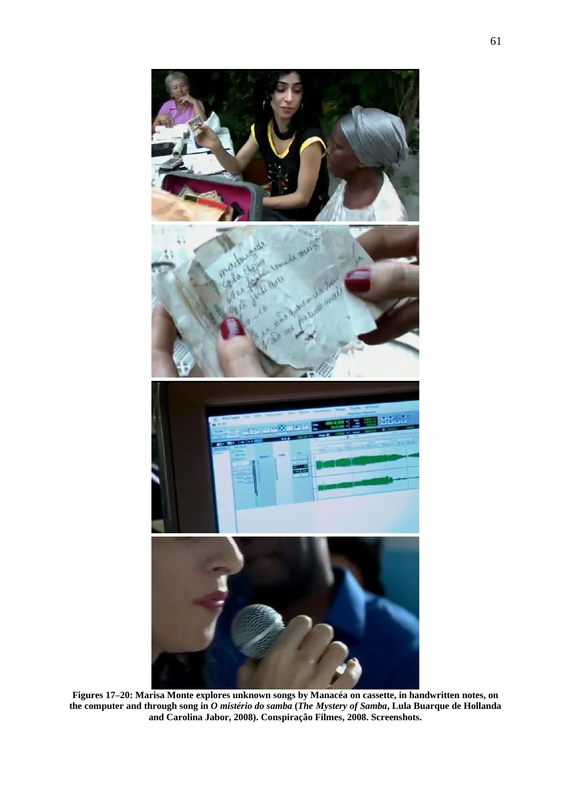

**Figures 17–20: Marisa Monte explores unknown songs by Manacéa on cassette, in handwritten notes, on the computer and through song in** *O mistério do samba* **(***The Mystery of Samba***, Lula Buarque de Hollanda and Carolina Jabor, 2008). Conspiração Filmes, 2008. Screenshots.**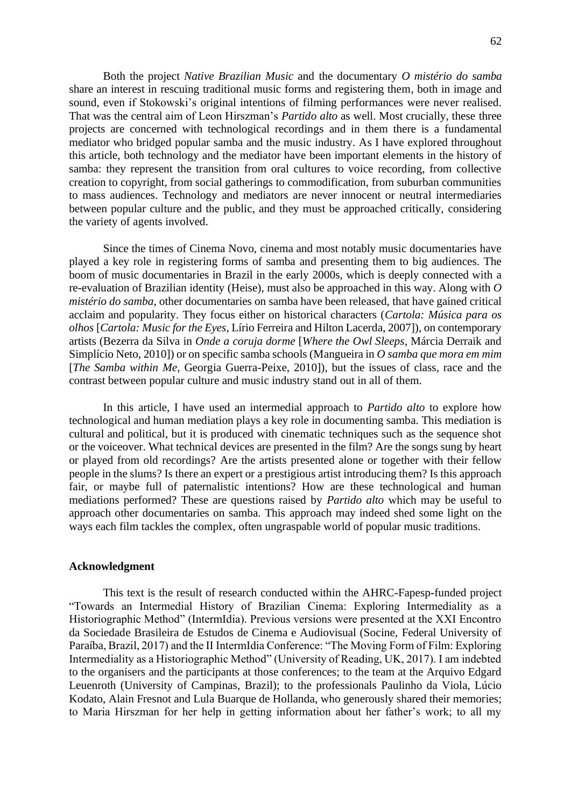Both the project *Native Brazilian Music* and the documentary *O mistério do samba* share an interest in rescuing traditional music forms and registering them, both in image and sound, even if Stokowski's original intentions of filming performances were never realised. That was the central aim of Leon Hirszman's *Partido alto* as well. Most crucially, these three projects are concerned with technological recordings and in them there is a fundamental mediator who bridged popular samba and the music industry. As I have explored throughout this article, both technology and the mediator have been important elements in the history of samba: they represent the transition from oral cultures to voice recording, from collective creation to copyright, from social gatherings to commodification, from suburban communities to mass audiences. Technology and mediators are never innocent or neutral intermediaries between popular culture and the public, and they must be approached critically, considering the variety of agents involved.

Since the times of Cinema Novo, cinema and most notably music documentaries have played a key role in registering forms of samba and presenting them to big audiences. The boom of music documentaries in Brazil in the early 2000s, which is deeply connected with a re-evaluation of Brazilian identity (Heise), must also be approached in this way. Along with *O mistério do samba*, other documentaries on samba have been released, that have gained critical acclaim and popularity. They focus either on historical characters (*Cartola: Música para os olhos* [*Cartola: Music for the Eyes*, Lírio Ferreira and Hilton Lacerda, 2007]), on contemporary artists (Bezerra da Silva in *Onde a coruja dorme* [*Where the Owl Sleeps*, Márcia Derraik and Simplício Neto, 2010]) or on specific samba schools (Mangueira in *O samba que mora em mim* [*The Samba within Me*, Georgia Guerra-Peixe, 2010]), but the issues of class, race and the contrast between popular culture and music industry stand out in all of them.

In this article, I have used an intermedial approach to *Partido alto* to explore how technological and human mediation plays a key role in documenting samba. This mediation is cultural and political, but it is produced with cinematic techniques such as the sequence shot or the voiceover. What technical devices are presented in the film? Are the songs sung by heart or played from old recordings? Are the artists presented alone or together with their fellow people in the slums? Is there an expert or a prestigious artist introducing them? Is this approach fair, or maybe full of paternalistic intentions? How are these technological and human mediations performed? These are questions raised by *Partido alto* which may be useful to approach other documentaries on samba. This approach may indeed shed some light on the ways each film tackles the complex, often ungraspable world of popular music traditions.

#### **Acknowledgment**

This text is the result of research conducted within the AHRC-Fapesp-funded project "Towards an Intermedial History of Brazilian Cinema: Exploring Intermediality as a Historiographic Method" (IntermIdia). Previous versions were presented at the XXI Encontro da Sociedade Brasileira de Estudos de Cinema e Audiovisual (Socine, Federal University of Paraíba, Brazil, 2017) and the II IntermIdia Conference: "The Moving Form of Film: Exploring Intermediality as a Historiographic Method" (University of Reading, UK, 2017). I am indebted to the organisers and the participants at those conferences; to the team at the Arquivo Edgard Leuenroth (University of Campinas, Brazil); to the professionals Paulinho da Viola, Lúcio Kodato, Alain Fresnot and Lula Buarque de Hollanda, who generously shared their memories; to Maria Hirszman for her help in getting information about her father's work; to all my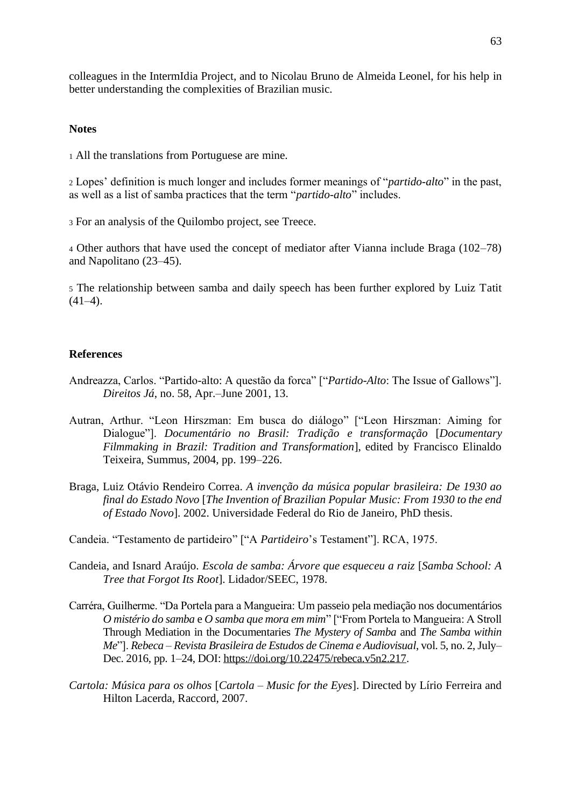colleagues in the IntermIdia Project, and to Nicolau Bruno de Almeida Leonel, for his help in better understanding the complexities of Brazilian music.

#### **Notes**

<sup>1</sup> All the translations from Portuguese are mine.

<sup>2</sup> Lopes' definition is much longer and includes former meanings of "*partido-alto*" in the past, as well as a list of samba practices that the term "*partido-alto*" includes.

<sup>3</sup> For an analysis of the Quilombo project, see Treece.

<sup>4</sup> Other authors that have used the concept of mediator after Vianna include Braga (102–78) and Napolitano (23–45).

<sup>5</sup> The relationship between samba and daily speech has been further explored by Luiz Tatit  $(41-4)$ .

#### **References**

- Andreazza, Carlos. "Partido-alto: A questão da forca" ["*Partido-Alto*: The Issue of Gallows"]. *Direitos Já*, no. 58, Apr.–June 2001, 13.
- Autran, Arthur. "Leon Hirszman: Em busca do diálogo" ["Leon Hirszman: Aiming for Dialogue"]. *Documentário no Brasil: Tradição e transformação* [*Documentary Filmmaking in Brazil: Tradition and Transformation*], edited by Francisco Elinaldo Teixeira, Summus, 2004, pp. 199–226.
- Braga, Luiz Otávio Rendeiro Correa. *A invenção da música popular brasileira: De 1930 ao final do Estado Novo* [*The Invention of Brazilian Popular Music: From 1930 to the end of Estado Novo*]. 2002. Universidade Federal do Rio de Janeiro, PhD thesis.
- Candeia. "Testamento de partideiro" ["A *Partideiro*'s Testament"]. RCA, 1975.
- Candeia, and Isnard Araújo. *Escola de samba: Árvore que esqueceu a raiz* [*Samba School: A Tree that Forgot Its Root*]. Lidador/SEEC, 1978.
- Carréra, Guilherme. "Da Portela para a Mangueira: Um passeio pela mediação nos documentários *O mistério do samba* e *O samba que mora em mim*" ["From Portela to Mangueira: A Stroll Through Mediation in the Documentaries *The Mystery of Samba* and *The Samba within Me*"]. *Rebeca – Revista Brasileira de Estudos de Cinema e Audiovisual*, vol. 5, no. 2, July– Dec. 2016, pp. 1–24, DOI: [https://doi.org/10.22475/rebeca.v5n2.217.](https://doi.org/10.22475/rebeca.v5n2.217)
- *Cartola: Música para os olhos* [*Cartola – Music for the Eyes*]. Directed by Lírio Ferreira and Hilton Lacerda, Raccord, 2007.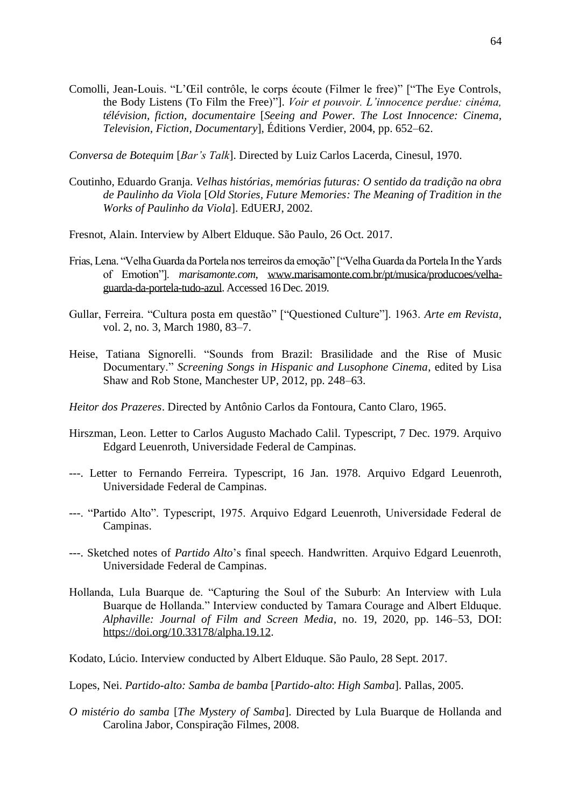Comolli, Jean-Louis. "L'Œil contrôle, le corps écoute (Filmer le free)" ["The Eye Controls, the Body Listens (To Film the Free)"]. *Voir et pouvoir. L'innocence perdue: cinéma, télévision, fiction, documentaire* [*Seeing and Power. The Lost Innocence: Cinema, Television, Fiction, Documentary*], Éditions Verdier, 2004, pp. 652–62.

*Conversa de Botequim* [*Bar's Talk*]. Directed by Luiz Carlos Lacerda, Cinesul, 1970.

- Coutinho, Eduardo Granja. *Velhas histórias, memórias futuras: O sentido da tradição na obra de Paulinho da Viola* [*Old Stories, Future Memories: The Meaning of Tradition in the Works of Paulinho da Viola*]. EdUERJ, 2002.
- Fresnot, Alain. Interview by Albert Elduque. São Paulo, 26 Oct. 2017.
- Frias, Lena. "Velha Guarda da Portela nos terreiros da emoção" ["Velha Guarda da Portela In the Yards of Emotion"]. *marisamonte.com*, [www.marisamonte.com.br/pt/musica/producoes/velha](http://www.marisamonte.com.br/pt/musica/producoes/velha-guarda-da-portela-tudo-azul)[guarda-da-portela-tudo-azul.](http://www.marisamonte.com.br/pt/musica/producoes/velha-guarda-da-portela-tudo-azul) Accessed 16 Dec. 2019.
- Gullar, Ferreira. "Cultura posta em questão" ["Questioned Culture"]. 1963. *Arte em Revista*, vol. 2, no. 3, March 1980, 83–7.
- Heise, Tatiana Signorelli. "Sounds from Brazil: Brasilidade and the Rise of Music Documentary." *Screening Songs in Hispanic and Lusophone Cinema*, edited by Lisa Shaw and Rob Stone, Manchester UP, 2012, pp. 248–63.
- *Heitor dos Prazeres*. Directed by Antônio Carlos da Fontoura, Canto Claro, 1965.
- Hirszman, Leon. Letter to Carlos Augusto Machado Calil. Typescript, 7 Dec. 1979. Arquivo Edgard Leuenroth, Universidade Federal de Campinas.
- ---. Letter to Fernando Ferreira. Typescript, 16 Jan. 1978. Arquivo Edgard Leuenroth, Universidade Federal de Campinas.
- ---. "Partido Alto". Typescript, 1975. Arquivo Edgard Leuenroth, Universidade Federal de Campinas.
- ---. Sketched notes of *Partido Alto*'s final speech. Handwritten. Arquivo Edgard Leuenroth, Universidade Federal de Campinas.
- Hollanda, Lula Buarque de. "Capturing the Soul of the Suburb: An Interview with Lula Buarque de Hollanda." Interview conducted by Tamara Courage and Albert Elduque. *Alphaville: Journal of Film and Screen Media*, no. 19, 2020, pp. 146–53, DOI: [https://doi.org/10.33178/alpha.19.12.](https://doi.org/10.33178/alpha.19.12)

Kodato, Lúcio. Interview conducted by Albert Elduque. São Paulo, 28 Sept. 2017.

- Lopes, Nei. *Partido-alto: Samba de bamba* [*Partido-alto*: *High Samba*]. Pallas, 2005.
- *O mistério do samba* [*The Mystery of Samba*]. Directed by Lula Buarque de Hollanda and Carolina Jabor, Conspiração Filmes, 2008.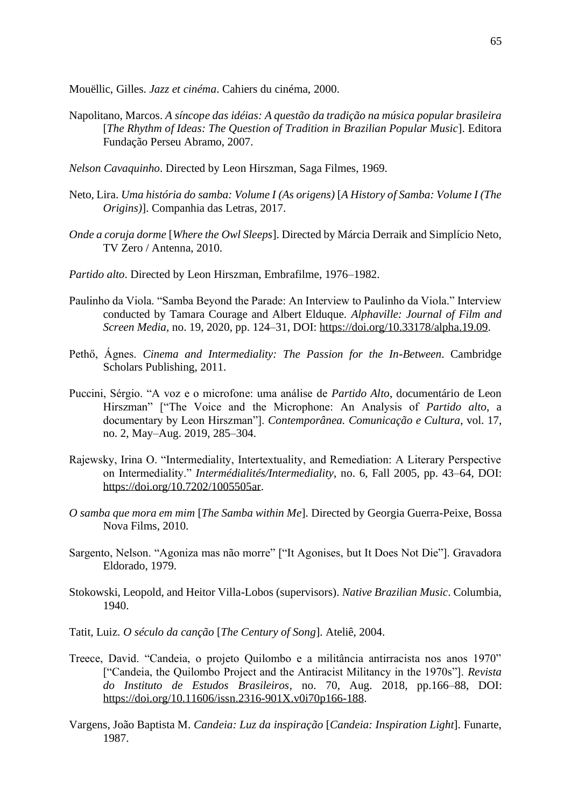Mouëllic, Gilles. *Jazz et cinéma*. Cahiers du cinéma, 2000.

- Napolitano, Marcos. *A síncope das idéias: A questão da tradição na música popular brasileira* [*The Rhythm of Ideas: The Question of Tradition in Brazilian Popular Music*]. Editora Fundação Perseu Abramo, 2007.
- *Nelson Cavaquinho*. Directed by Leon Hirszman, Saga Filmes, 1969.
- Neto, Lira. *Uma história do samba: Volume I (As origens)* [*A History of Samba: Volume I (The Origins)*]. Companhia das Letras, 2017.
- *Onde a coruja dorme* [*Where the Owl Sleeps*]. Directed by Márcia Derraik and Simplício Neto, TV Zero / Antenna, 2010.
- *Partido alto*. Directed by Leon Hirszman, Embrafilme, 1976–1982.
- Paulinho da Viola. "Samba Beyond the Parade: An Interview to Paulinho da Viola." Interview conducted by Tamara Courage and Albert Elduque. *Alphaville: Journal of Film and Screen Media*, no. 19, 2020, pp. 124–31, DOI: [https://doi.org/10.33178/alpha.19.09.](https://doi.org/10.33178/alpha.19.09)
- Pethő, Ágnes. *Cinema and Intermediality: The Passion for the In-Between*. Cambridge Scholars Publishing, 2011.
- Puccini, Sérgio. "A voz e o microfone: uma análise de *Partido Alto*, documentário de Leon Hirszman" ["The Voice and the Microphone: An Analysis of *Partido alto*, a documentary by Leon Hirszman"]. *Contemporânea. Comunicação e Cultura*, vol. 17, no. 2, May–Aug. 2019, 285–304.
- Rajewsky, Irina O. "Intermediality, Intertextuality, and Remediation: A Literary Perspective on Intermediality." *Intermédialités/Intermediality*, no. 6, Fall 2005, pp. 43–64, DOI: [https://doi.org/10.7202/1005505ar.](https://doi.org/10.7202/1005505ar)
- *O samba que mora em mim* [*The Samba within Me*]. Directed by Georgia Guerra-Peixe, Bossa Nova Films, 2010.
- Sargento, Nelson. "Agoniza mas não morre" ["It Agonises, but It Does Not Die"]. Gravadora Eldorado, 1979.
- Stokowski, Leopold, and Heitor Villa-Lobos (supervisors). *Native Brazilian Music*. Columbia, 1940.
- Tatit, Luiz. *O século da canção* [*The Century of Song*]. Ateliê, 2004.
- Treece, David. "Candeia, o projeto Quilombo e a militância antirracista nos anos 1970" ["Candeia, the Quilombo Project and the Antiracist Militancy in the 1970s"]. *Revista do Instituto de Estudos Brasileiros*, no. 70, Aug. 2018, pp.166–88, DOI: [https://doi.org/10.11606/issn.2316-901X.v0i70p166-188.](https://doi.org/10.11606/issn.2316-901X.v0i70p166-188)
- Vargens, João Baptista M. *Candeia: Luz da inspiração* [*Candeia: Inspiration Light*]. Funarte, 1987.